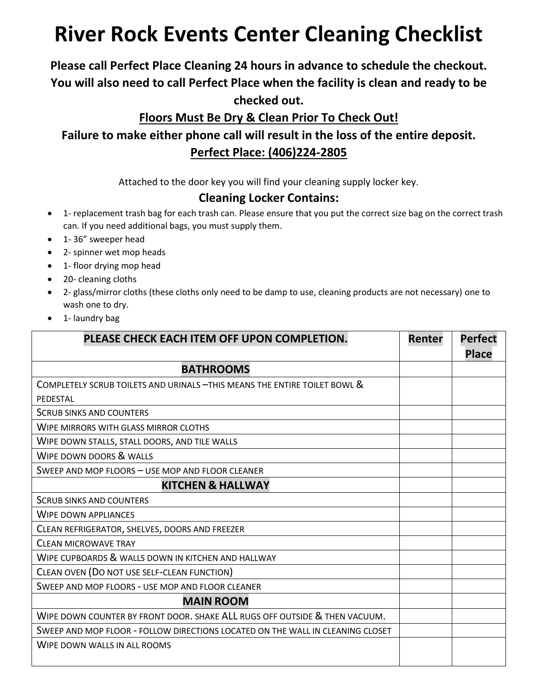# **River Rock Events Center Cleaning Checklist**

## **Please call Perfect Place Cleaning 24 hours in advance to schedule the checkout. You will also need to call Perfect Place when the facility is clean and ready to be checked out.**

#### **Floors Must Be Dry & Clean Prior To Check Out!**

**Failure to make either phone call will result in the loss of the entire deposit. Perfect Place: (406)224-2805**

Attached to the door key you will find your cleaning supply locker key.

#### **Cleaning Locker Contains:**

- 1- replacement trash bag for each trash can. Please ensure that you put the correct size bag on the correct trash can. If you need additional bags, you must supply them.
- 1- 36" sweeper head
- 2- spinner wet mop heads
- 1- floor drying mop head
- 20- cleaning cloths
- 2- glass/mirror cloths (these cloths only need to be damp to use, cleaning products are not necessary) one to wash one to dry.
- 1- laundry bag

| PLEASE CHECK EACH ITEM OFF UPON COMPLETION.                                    | Renter | <b>Perfect</b> |
|--------------------------------------------------------------------------------|--------|----------------|
|                                                                                |        | <b>Place</b>   |
| <b>BATHROOMS</b>                                                               |        |                |
| COMPLETELY SCRUB TOILETS AND URINALS -THIS MEANS THE ENTIRE TOILET BOWL &      |        |                |
| PEDESTAL                                                                       |        |                |
| <b>SCRUB SINKS AND COUNTERS</b>                                                |        |                |
| WIPE MIRRORS WITH GLASS MIRROR CLOTHS                                          |        |                |
| WIPE DOWN STALLS, STALL DOORS, AND TILE WALLS                                  |        |                |
| <b>WIPE DOWN DOORS &amp; WALLS</b>                                             |        |                |
| SWEEP AND MOP FLOORS - USE MOP AND FLOOR CLEANER                               |        |                |
| <b>KITCHEN &amp; HALLWAY</b>                                                   |        |                |
| <b>SCRUB SINKS AND COUNTERS</b>                                                |        |                |
| <b>WIPE DOWN APPLIANCES</b>                                                    |        |                |
| CLEAN REFRIGERATOR, SHELVES, DOORS AND FREEZER                                 |        |                |
| <b>CLEAN MICROWAVE TRAY</b>                                                    |        |                |
| WIPE CUPBOARDS & WALLS DOWN IN KITCHEN AND HALLWAY                             |        |                |
| CLEAN OVEN (DO NOT USE SELF-CLEAN FUNCTION)                                    |        |                |
| SWEEP AND MOP FLOORS - USE MOP AND FLOOR CLEANER                               |        |                |
| <b>MAIN ROOM</b>                                                               |        |                |
| WIPE DOWN COUNTER BY FRONT DOOR. SHAKE ALL RUGS OFF OUTSIDE & THEN VACUUM.     |        |                |
| SWEEP AND MOP FLOOR - FOLLOW DIRECTIONS LOCATED ON THE WALL IN CLEANING CLOSET |        |                |
| WIPE DOWN WALLS IN ALL ROOMS                                                   |        |                |
|                                                                                |        |                |